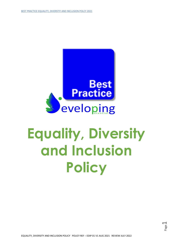

# **Equality, Diversity and Inclusion Policy**

Page  $\overline{\phantom{0}}$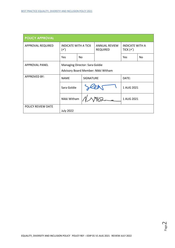| <b>POLICY APPROVAL</b> |                                                                       |           |                  |                                         |                                               |     |
|------------------------|-----------------------------------------------------------------------|-----------|------------------|-----------------------------------------|-----------------------------------------------|-----|
| APPROVAL REQUIRED      | <b>INDICATE WITH A TICK</b><br>$(\checkmark)$                         |           |                  | <b>ANNUAL REVIEW</b><br><b>REQUIRED</b> | <b>INDICATE WITH A</b><br>TICK $(\checkmark)$ |     |
|                        | Yes                                                                   | <b>No</b> |                  |                                         | <b>Yes</b>                                    | No. |
| <b>APPROVAL PANEL</b>  | Managing Director: Sara Goldie<br>Advisory Board Member: Nikki Witham |           |                  |                                         |                                               |     |
| <b>APPROVED BY:</b>    | <b>NAME</b>                                                           |           | <b>SIGNATURE</b> |                                         | DATE:                                         |     |
|                        | Sara Goldie                                                           |           |                  |                                         | 1 AUG 2021                                    |     |
|                        | Nikki Witham                                                          |           |                  |                                         | 1 AUG 2021                                    |     |
| POLICY REVIEW DATE     | <b>July 2022</b>                                                      |           |                  |                                         |                                               |     |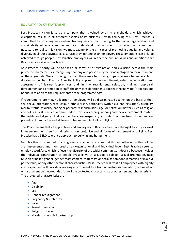#### **EQUALITY POLICY STATEMENT**

Best Practice's vision is to be a company that is valued by all its stakeholders, which achieves exceptional results in all different aspects of its business. Key to achieving this, Best Practice is committed to providing an excellent training service, contributing to the wider regeneration and sustainability of local communities. We understand that in order to provide the commitment necessary to realise this vision, we must exemplify the principles of promoting equality and valuing diversity in all our activities, as a service provider and as an employer. These ambitions can only be achieved through people. Best Practice employees will reflect the culture, values and ambitions that Best Practice will aim to achieve.

Best Practice priority will be to tackle all forms of discrimination and exclusion across the main protected characteristics, recognising that any one person may be disadvantaged on more than one of these grounds. We also recognise that there may be other groups who may be vulnerable to discrimination. Best Practice Equality Policy applies to the recruitment, selection, education and assessment of learners/apprentices and in the recruitment, selection, training, appraisal, development and promotion of staff, the only consideration must be that the individual's abilities and needs, in relation to the requirements of the programme post.

If requirements are met, no learner or employee will be discriminated against on the basis of their sex, sexual orientation, race, colour, ethnic origin, nationality (within current legislation), disability, marital status, sexuality, caring or parental responsibilities, age, or beliefs on matters such as religion and politics. Best Practice is committed to provide a learning, working and social environment in which the rights and dignity of all its members are respected, and which is free from discrimination, prejudice, intimidation and all forms of harassment including bullying.

This Policy means that all apprentices and employees of Best Practice have the right to study or work in an environment free from discrimination, prejudice and all forms of harassment or bullying. Best Practice has a ZERO tolerance approach to bullying and harassment.

Best Practice is committed to a programme of action to ensure that this and other equalities policies are implemented and monitored at an organisational and individual level. Best Practice seeks to employ a workforce which reflects the diversity of the wider community. It does so because it values the individual contribution of people irrespective of sex, age, disability, sexual orientation, race, religion or belief, gender, gender reassignment, maternity, or because someone is married or in a civil partnership, or any other personal characteristics. Best Practice will treat all employees with dignity and respect and will provide a working environment free from unlawful discrimination, victimisation or harassment on the grounds of any of the protected characteristics or other personal characteristics. The protected characteristics are:

- Age
- Disability
- Sex
- Gender reassignment
- Pregnancy & maternity
- Race
- Sexual orientation
- Religion or belief
- Married or in a civil partnership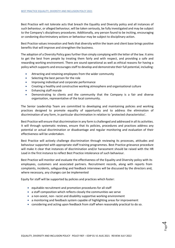Best Practice will not tolerate acts that breach the Equality and Diversity policy and all instances of such behaviour, or alleged behaviour, will be taken seriously, be fully investigated and may be subject to the Company's disciplinary procedures. Additionally, any person found to be inciting, encouraging or condoning discriminatory actions or behaviour may be subject to disciplinary action.

Best Practice values innovation and feels that diversity within the team and client base brings positive benefits that will improve and strengthen the business.

The adoption of a Diversity Policy goes further than simply complying with the letter of the law. It aims to get the best from people by treating them fairly and with respect, and providing a safe and rewarding working environment. There are sound operational as well as ethical reasons for having a policy which supports and encourages staff to develop and demonstrate their full potential, including:

- Attracting and retaining employees from the wider community
- Selecting the best person for the role
- Improving individual and corporate performance
- Creating a healthy and constructive working atmosphere and organisational culture
- Enhancing staff morale
- Demonstrating to clients and the community that the Company is a fair and diverse organisation, representative of the local community.

The Senior Leadership Team are committed to developing and maintaining policies and working practices designed to promote equality of opportunity and to address the elimination of discrimination of any form, in particular discrimination in relation to 'protected characteristics'.

Best Practice will ensure that discrimination in any form is challenged and addressed in all its activities. It will through systematic reviews, ensure that its policies, procedures and practices address any potential or actual discrimination or disadvantage and regular monitoring and evaluation of their effectiveness will be undertaken.

Best Practice will actively challenge discrimination through reviewing its processes, attitudes and behaviour supported with appropriate staff training programmes. Best Practice grievance procedure will make it clear that instances of discrimination and/or harassment should be raised with the HR Lead in the first instance to reflect Best Practice intolerance of such behaviour.

Best Practice will monitor and evaluate the effectiveness of the Equality and Diversity policy with its employees, customers and associated partners. Recruitment records, along with reports from complaints, incidents, safeguarding and feedback interviews will be discussed by the directors and, where necessary, any changes can be implemented

Equity for staff will be supported by policies and practices which foster:

- equitable recruitment and promotion procedures for all staff
- a staff composition which reflects closely the communities we serve
- a non-sexist, non- racist and disability supportive working environment
- a monitoring and feedback system capable of highlighting areas for improvement
- considering and acting upon feedback from staff when reasonably practical to do so.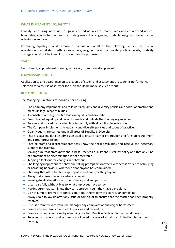## **WHAT IS MEANT BY "EQUALITY"?**

Equality is ensuring individuals or groups of individuals are treated fairly and equally and no less favourably, specific to their needs, including areas of race, gender, disability, religion or belief, sexual orientation and age.

Promoting equality should remove discrimination in all of the following factors; sex, sexual orientation, marital status, ethnic origin, race, religion, colour, nationality, political beliefs, disability and age should not be taken into account for the purposes of:

## **STAFF:**

Recruitment, appointment, training, appraisal, promotion, discipline etc.

#### **LEARNERS/APPRENTICES:**

Application to and acceptance on to a course of study, and assessment of academic performance Selection for a course of study or for a job should be made solely on merit

#### **RESPONSIBILITIES**

The Managing Director is responsible for ensuring:

- The Company implements and follows its equality and diversity policies and codes of practice and meets its legal responsibilities.
- A consistent and high-profile lead on equality and diversity.
- Promotion of equality and diversity inside and outside the training organisation.
- Policies and procedures are in place to comply with all applicable legislation.
- The Company implements its equality and diversity policies and codes of practice.
- Quality audits are carried out in all areas of Equality & Diversity.
- There is baseline data on admission used to ensure learner progression and for staff recruitment and career progression.
- That all staff and learners/apprentices know their responsibilities and receive the necessary support and training.
- Making sure that staff know about Best Practice Equality and Diversity policy and that any kind of harassment or discrimination is not acceptable.
- Keeping a look out for changes in behaviour
- Challenging inappropriate behaviour, taking prompt action wherever there is evidence of bullying or harassing behaviour, whether or not anyone has complained.
- Checking that office banter is appropriate and not upsetting anyone
- Always take issues seriously where required
- Investigate all allegations with consistency and an open mind
- Listen carefully without bias to what employees have to say
- Making sure that staff know they can approach you if they have a problem.
- Do not jump to premature conclusions about the validity of a particular complaint
- Always do a follow up after any issue or complaint to ensure that the matter has been properly resolved
- Discuss promptly with your line manager any complaint of bullying or harassment
- Ensure you are familiar with all HR policies and procedures
- Ensure you lead your team by observing the Best Practice Code of Conduct at all times
- Relevant procedures and actions are followed in cases of unfair discrimination, harassment or bullying.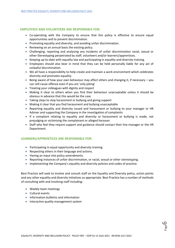## **EMPLOYEES AND VOLUNTEERS ARE RESPONSIBLE FOR:**

- Co-operating with the Company to ensure that this policy is effective to ensure equal opportunities and to prevent discrimination.
- Promoting equality and diversity, and avoiding unfair discrimination.
- Reviewing on an annual basis the existing policy.
- Challenging, reporting and analysing any incidents of unfair discrimination racial, sexual or other Stereotyping perpetrated by staff, volunteers and/or learners/apprentices.
- Keeping up-to-date with equality law and participating in equality and diversity training.
- Employees should also bear in mind that they can be held personally liable for any act of unlawful discrimination.
- We all have a responsibility to help create and maintain a work environment which celebrates diversity and promotes equality.
- Being aware of how your own behaviour may affect others and changing it, if necessary  $-$  you can still cause offence even if you are 'only joking'
- Treating your colleagues with dignity and respect
- Making it clear to others when you find their behaviour unacceptable unless it should be obvious in advance that this would be the case
- Taking steps to stop harassment or bullying and giving support
- Making it clear that you find harassment and bullying unacceptable
- Reporting equality and diversity issued and harassment or bullying to your manager or HR Adviser and supporting the Company in the investigation of complaints
- If a complaint relating to equality and diversity or harassment or bullying is made, not prejudging or victimising the complainant or alleged harasser.
- Staff who feel they require support and guidance should contact their line manager or the HR Department.

# **LEARNERS/APPRENTICES ARE RESPONSIBLE FOR:**

- Participating in equal opportunity and diversity training.
- Respecting others in their language and actions.
- Having an input into policy amendments.
- Reporting instances of unfair discrimination, or racial, sexual or other stereotyping.
- Implementing the Company's equality and diversity policies and codes of practice.

Best Practice will seek to involve and consult staff on the Equality and Diversity policy, action points and any other equality and diversity initiatives as appropriate. Best Practice has a number of methods of consulting with and involving staff including:

- Weekly team meetings
- Cultural events
- Information bulletins and information
- Interactive quality management system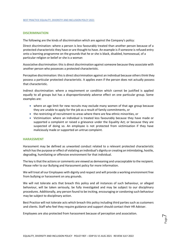## **DISCRIMINATION**

The following are the kinds of discrimination which are against the Company's policy:

Direct discrimination: where a person is less favourably treated than another person because of a protected characteristic they have or are thought to have. An example is if someone is refused entry onto a learning programme on the grounds that he or she is black, disabled, homosexual, of a particular religion or belief or she is a woman

Associative discrimination: this is direct discrimination against someone because they associate with another person who possesses a protected characteristic.

Perceptive discrimination: this is direct discrimination against an individual because others think they possess a particular protected characteristic. It applies even if the person does not actually possess that characteristic.

Indirect discrimination: where a requirement or condition which cannot be justified is applied equally to all groups but has a disproportionately adverse effect on one particular group. Some examples are:

- where an age limit for new recruits may exclude many women of that age group because they are unable to apply for the job as a result of family commitments, or
- the restricting of recruitment to areas where there are few ethnic minorities, or
- Victimisation: where an individual is treated less favourably because they have made or supported a complaint or raised a grievance under the Equality Act; or because they are suspected of doing so. An employee is not protected from victimisation if they have maliciously made or supported an untrue complaint.

## **HARASSMENT**

Harassment may be defined as unwanted conduct related to a relevant protected characteristic which has the purpose or effect of violating an individual's dignity or creating an intimidating, hostile, degrading, humiliating or offensive environment for that individual.

The key is that the actions or comments are viewed as demeaning and unacceptable to the recipient. Please refer to our Bullying and Harassment policy for more information.

We will treat all our Employees with dignity and respect and will provide a working environment free from bullying or harassment on any grounds.

We will not tolerate acts that breach this policy and all instances of such behaviour, or alleged behaviour, will be taken seriously, be fully investigated and may be subject to our disciplinary procedures. Additionally, any person found to be inciting, encouraging or condoning such behaviour may be subject to disciplinary action.

Best Practice will not tolerate acts which breach this policy including third parties such as customers and clients. Staff who feel they require guidance and support should contact their HR Adviser.

Employees are also protected from harassment because of perception and association.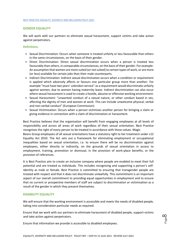## **GENDER EQUALITY**

We will work with our partners to eliminate sexual harassment, support victims and take action against perpetrators.

## **Definitions:**

- Sexual Discrimination: Occurs when someone is treated unfairly or less favourable than others in the same circumstances, on the basis of their gender.
- Direct Discrimination: Direct sexual discrimination occurs when a person is treated less favourably than others, in comparable circumstances, on the basis of their gender. For example-An assumption that women are more suited (or not suited) to certain types of work, or are more (or less) available for certain jobs than their male counterparts.
- Indirect Discrimination: Indirect sexual discrimination occurs when a condition or requirement is applied which adversely affects or favours one particular group more than another- For example "must have two years' unbroken service" as a requirement would discriminate unfairly against women, due to women having maternity leave. Indirect discrimination can also occur where sexual harassment is used to create a hostile, abusive or offensive working environment.
- Sexual Harassment: "unwanted conduct of a sexual nature, or other conduct based in sex, affecting the dignity of men and women at work. This can include unwelcome physical, verbal and non-verbal conduct" (European Commission)
- Sexual Victimisation: Occurs when a person victimises another person for bringing a claim or giving evidence in connection with a claim of discrimination or harassment.

Best Practice believes that the organisation will benefit from engaging employees at all levels of responsibility and across all areas of work regardless of their sexual orientation. Best Practice recognises the right of every person to be treated in accordance with these values. Magic Beans Group employees of all sexual orientations have a statutory right to fair treatment under s12 Equality Act 2010. The Act sets out a framework for eliminating employment or occupational inequalities based on sexual orientation, i.e. to ensure there will be no discrimination against employees, either directly or indirectly, on the grounds of sexual orientation in access to employment, training, promotion or dismissal, in the provision of work-place benefits, or the provision of references.

It is Best Practice aim to create an inclusive company where people are enabled to meet their full potential and are treated as individuals. This includes recognising and supporting a person's selfidentity as male or female. Best Practice is committed to ensuring that transgender people are treated with respect and that it does not discriminate unlawfully. This commitment is an important aspect of our overall commitment to providing equal opportunities in employment and to ensure that no current or prospective members of staff are subject to discrimination or victimisation as a result of the gender in which they present themselves.

# **DISABILITY EQUALITY**

We will ensure that the working environment is accessible and meets the needs of disabled people, taking into consideration particular needs as required.

Ensure that we work with our partners to eliminate harassment of disabled people, support victims and take action against perpetrators.

Ensure that information we provide is accessible to disabled employees.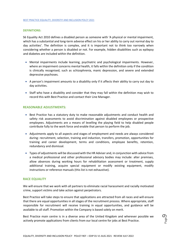#### **DEFINITIONS:**

S6 Equality Act 2010 defines a disabled person as someone with 'A physical or mental impairment, which has a substantial and long-term adverse effect on his or her ability to carry out normal day to day activities'. The definition is complex, and it is important not to think too narrowly when considering whether a person is disabled or not. For example, hidden disabilities such as epilepsy and diabetes are included within the definition.

- Mental impairments include learning, psychiatric and psychological impairments. However, where an impairment concerns mental health, it falls within the definition only if the condition is clinically recognised, such as schizophrenia, manic depression, and severe and extended depressive psychoses.
- A person's impairment amounts to a disability only if it affects their ability to carry out day to day activities.
- Staff who have a disability and consider that they may fall within the definition may wish to record this with Best Practice and contact their Line Manager.

## **REASONABLE ADJUSTMENTS:**

- Best Practice has a statutory duty to make reasonable adjustments and conduct health and safety risk assessments to avoid discrimination against disabled employees or prospective employees. Adjustments are a means of levelling the playing field to help disabled people contribute fully to the work force and enable that person to perform the job.
- Adjustments apply to all aspects and stages of employment and needs are always considered during: recruitment, selection, training and induction, transfers, promotion, opportunities for training and career development, terms and conditions, employee benefits, retention, redundancy and dismissal.
- Types of adjustments will be discussed with the HR Adviser and, in conjunction with advice from a medical professional and other professional advisory bodies may include: alter premises, allow absences during working hours for rehabilitation assessment or treatment, supply additional training, acquire special equipment or modify existing equipment, modify instructions or reference manuals (this list is not exhaustive).

## **RACE EQUALITY**

We will ensure that we work with all partners to eliminate racial harassment and racially motivated crime, support victims and take action against perpetrators.

Best Practice will take steps to ensure that applications are attracted from all races and will ensure that there are equal opportunities in all stages of the recruitment process. Where appropriate, staff responsible for recruitment will receive training in equal opportunities, and guidance will be available to all staff. Promotion within the Company is based solely on merit.

Best Practice main centre is in a diverse area of the United Kingdom and wherever possible we actively promote applications from clients from our local centre for jobs at Best Practice.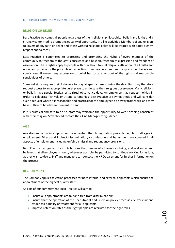# **RELIGION OR BELIEF**

Best Practice welcomes all people regardless of their religions, philosophical beliefs and faiths and is strongly committed to promoting equality of opportunity in all its activities. Members of any religion, followers of any faith or belief and those without religious belief will be treated with equal dignity, respect and fairness.

Best Practice is committed to protecting and promoting the rights of every member of the community to freedom of thought, conscience and religion, freedom of expression and freedom of association. These rights apply to people with or without formal religious affiliation, of all faiths and none, and provide for the principle of respecting other people's freedom to express their beliefs and convictions. However, any expression of belief has to take account of the rights and reasonable sensitivities of others.

Some religions require their followers to pray at specific times during the day. Staff may therefore request access to an appropriate quiet place to undertake their religious observance. Many religions or beliefs have special festival or spiritual observance days. An employee may request holiday in order to celebrate festivals or attend ceremonies. Best Practice are sympathetic and will consider such a request where it is reasonable and practical for the employee to be away from work, and they have sufficient holiday entitlement in hand.

If it is practical and safe to do so, staff may welcome the opportunity to wear clothing consistent with their religion. Staff should contact their Line Manager for guidance.

# **AGE**

Age discrimination in employment is unlawful. The UK legislation protects people of all ages in employment. Direct and indirect discrimination, victimisation and harassment are covered in all aspects of employment including unfair dismissal and redundancy provisions.

Best Practice recognises the contributions that people of all ages can bring, and welcomes and believes that all employees should, wherever possible, be permitted to continue working for as long as they wish to do so. Staff and managers can contact the HR Department for further information on the process.

# **RECRUITMENT**

The Company applies selection processes for both internal and external applicants which ensure the appointment of the highest quality staff.

As part of our commitment, Best Practice will aim to:

- Ensure all appointments are fair and free from discrimination;
- Ensure that the operation of the Recruitment and Selection policy processes delivers fair and evidenced equality of treatment for all applicants.
- Improve retention rates as the right people are recruited for the right roles